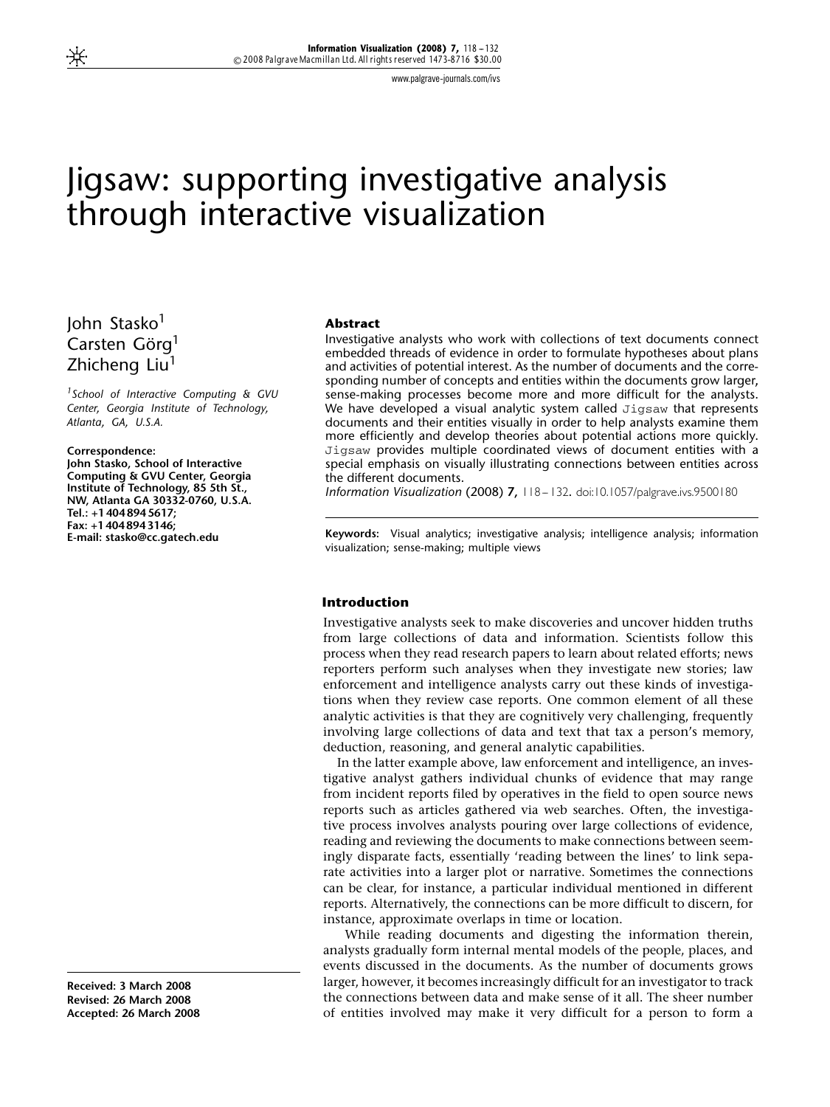www.palgrave-journals.com/ivs

# Jigsaw: supporting investigative analysis through interactive visualization

John Stasko<sup>1</sup> Carsten Görg<sup>1</sup> Zhicheng Liu<sup>1</sup>

*1School of Interactive Computing & GVU Center, Georgia Institute of Technology, Atlanta, GA, U.S.A.*

#### **Correspondence:**

**John Stasko, School of Interactive Computing & GVU Center, Georgia Institute of Technology, 85 5th St., NW, Atlanta GA 30332-0760, U.S.A. Tel.: +1 404 894 5617; Fax: +1 404 894 3146; E-mail: stasko@cc.gatech.edu**

**Abstract**

Investigative analysts who work with collections of text documents connect embedded threads of evidence in order to formulate hypotheses about plans and activities of potential interest. As the number of documents and the corresponding number of concepts and entities within the documents grow larger, sense-making processes become more and more difficult for the analysts. We have developed a visual analytic system called  $Jiggsaw$  that represents documents and their entities visually in order to help analysts examine them more efficiently and develop theories about potential actions more quickly. Jigsaw provides multiple coordinated views of document entities with a special emphasis on visually illustrating connections between entities across the different documents.

**Information Visualization (2008) 7,** 118 - 132. doi:10.1057/palgrave.ivs.9500180

**Keywords:** Visual analytics; investigative analysis; intelligence analysis; information visualization; sense-making; multiple views

## **Introduction**

Investigative analysts seek to make discoveries and uncover hidden truths from large collections of data and information. Scientists follow this process when they read research papers to learn about related efforts; news reporters perform such analyses when they investigate new stories; law enforcement and intelligence analysts carry out these kinds of investigations when they review case reports. One common element of all these analytic activities is that they are cognitively very challenging, frequently involving large collections of data and text that tax a person's memory, deduction, reasoning, and general analytic capabilities.

In the latter example above, law enforcement and intelligence, an investigative analyst gathers individual chunks of evidence that may range from incident reports filed by operatives in the field to open source news reports such as articles gathered via web searches. Often, the investigative process involves analysts pouring over large collections of evidence, reading and reviewing the documents to make connections between seemingly disparate facts, essentially 'reading between the lines' to link separate activities into a larger plot or narrative. Sometimes the connections can be clear, for instance, a particular individual mentioned in different reports. Alternatively, the connections can be more difficult to discern, for instance, approximate overlaps in time or location.

While reading documents and digesting the information therein, analysts gradually form internal mental models of the people, places, and events discussed in the documents. As the number of documents grows larger, however, it becomes increasingly difficult for an investigator to track the connections between data and make sense of it all. The sheer number of entities involved may make it very difficult for a person to form a

**Received: 3 March 2008 Revised: 26 March 2008 Accepted: 26 March 2008**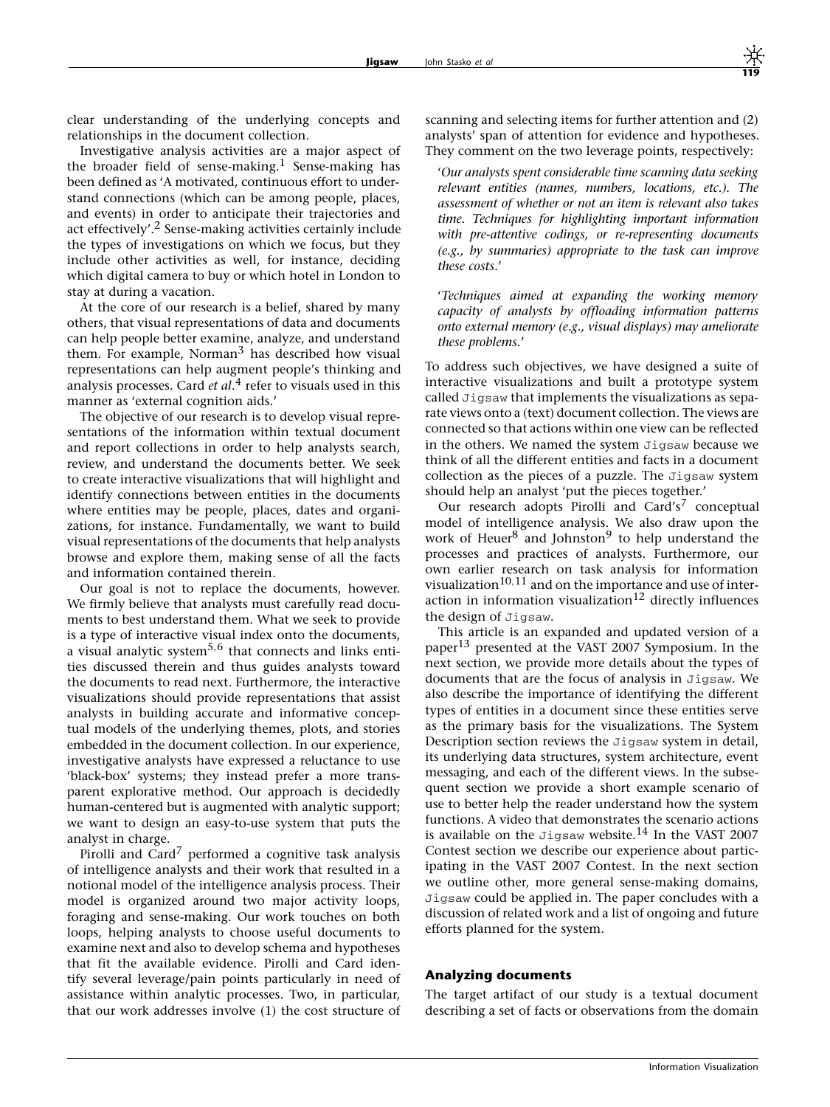clear understanding of the underlying concepts and relationships in the document collection.

Investigative analysis activities are a major aspect of the broader field of sense-making.<sup>1</sup> Sense-making has been defined as 'A motivated, continuous effort to understand connections (which can be among people, places, and events) in order to anticipate their trajectories and act effectively'.<sup>2</sup> Sense-making activities certainly include the types of investigations on which we focus, but they include other activities as well, for instance, deciding which digital camera to buy or which hotel in London to stay at during a vacation.

At the core of our research is a belief, shared by many others, that visual representations of data and documents can help people better examine, analyze, and understand them. For example, Norman<sup>3</sup> has described how visual representations can help augment people's thinking and analysis processes. Card *et al*. <sup>4</sup> refer to visuals used in this manner as 'external cognition aids.'

The objective of our research is to develop visual representations of the information within textual document and report collections in order to help analysts search, review, and understand the documents better. We seek to create interactive visualizations that will highlight and identify connections between entities in the documents where entities may be people, places, dates and organizations, for instance. Fundamentally, we want to build visual representations of the documents that help analysts browse and explore them, making sense of all the facts and information contained therein.

Our goal is not to replace the documents, however. We firmly believe that analysts must carefully read documents to best understand them. What we seek to provide is a type of interactive visual index onto the documents, a visual analytic system<sup>5,6</sup> that connects and links entities discussed therein and thus guides analysts toward the documents to read next. Furthermore, the interactive visualizations should provide representations that assist analysts in building accurate and informative conceptual models of the underlying themes, plots, and stories embedded in the document collection. In our experience, investigative analysts have expressed a reluctance to use 'black-box' systems; they instead prefer a more transparent explorative method. Our approach is decidedly human-centered but is augmented with analytic support; we want to design an easy-to-use system that puts the analyst in charge.

Pirolli and Card<sup>7</sup> performed a cognitive task analysis of intelligence analysts and their work that resulted in a notional model of the intelligence analysis process. Their model is organized around two major activity loops, foraging and sense-making. Our work touches on both loops, helping analysts to choose useful documents to examine next and also to develop schema and hypotheses that fit the available evidence. Pirolli and Card identify several leverage/pain points particularly in need of assistance within analytic processes. Two, in particular, that our work addresses involve (1) the cost structure of scanning and selecting items for further attention and (2) analysts' span of attention for evidence and hypotheses. They comment on the two leverage points, respectively:

'*Our analysts spent considerable time scanning data seeking relevant entities (names, numbers, locations, etc.). The assessment of whether or not an item is relevant also takes time. Techniques for highlighting important information with pre-attentive codings, or re-representing documents (e.g., by summaries) appropriate to the task can improve these costs.*'

'*Techniques aimed at expanding the working memory capacity of analysts by offloading information patterns onto external memory (e.g., visual displays) may ameliorate these problems.*'

To address such objectives, we have designed a suite of interactive visualizations and built a prototype system called Jigsaw that implements the visualizations as separate views onto a (text) document collection. The views are connected so that actions within one view can be reflected in the others. We named the system Jigsaw because we think of all the different entities and facts in a document collection as the pieces of a puzzle. The Jigsaw system should help an analyst 'put the pieces together.'

Our research adopts Pirolli and Card's<sup>7</sup> conceptual model of intelligence analysis. We also draw upon the work of Heuer<sup>8</sup> and Johnston<sup>9</sup> to help understand the processes and practices of analysts. Furthermore, our own earlier research on task analysis for information visualization<sup>10,11</sup> and on the importance and use of interaction in information visualization $12$  directly influences the design of Jigsaw.

This article is an expanded and updated version of a paper<sup>13</sup> presented at the VAST 2007 Symposium. In the next section, we provide more details about the types of documents that are the focus of analysis in Jigsaw. We also describe the importance of identifying the different types of entities in a document since these entities serve as the primary basis for the visualizations. The System Description section reviews the Jigsaw system in detail, its underlying data structures, system architecture, event messaging, and each of the different views. In the subsequent section we provide a short example scenario of use to better help the reader understand how the system functions. A video that demonstrates the scenario actions is available on the Jigsaw website.<sup>14</sup> In the VAST 2007 Contest section we describe our experience about participating in the VAST 2007 Contest. In the next section we outline other, more general sense-making domains, Jigsaw could be applied in. The paper concludes with a discussion of related work and a list of ongoing and future efforts planned for the system.

### **Analyzing documents**

The target artifact of our study is a textual document describing a set of facts or observations from the domain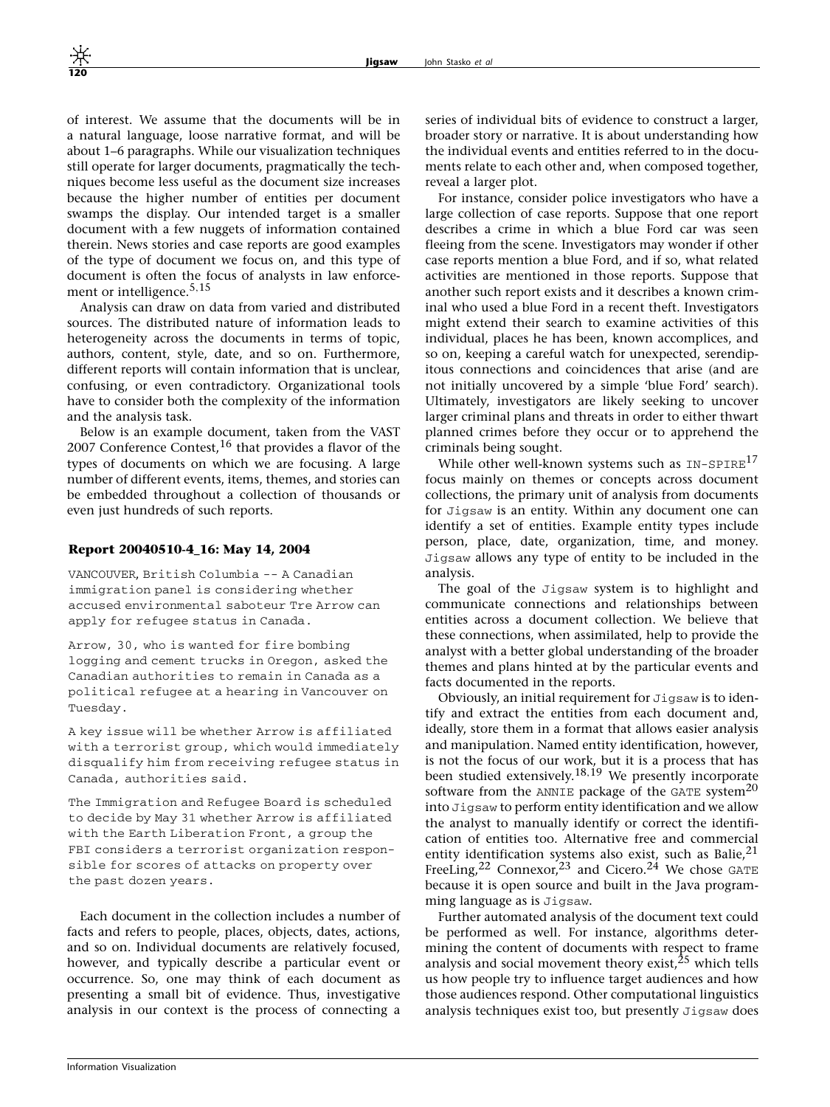of interest. We assume that the documents will be in a natural language, loose narrative format, and will be about 1–6 paragraphs. While our visualization techniques still operate for larger documents, pragmatically the techniques become less useful as the document size increases because the higher number of entities per document swamps the display. Our intended target is a smaller document with a few nuggets of information contained therein. News stories and case reports are good examples of the type of document we focus on, and this type of document is often the focus of analysts in law enforcement or intelligence.<sup>5,15</sup>

Analysis can draw on data from varied and distributed sources. The distributed nature of information leads to heterogeneity across the documents in terms of topic, authors, content, style, date, and so on. Furthermore, different reports will contain information that is unclear, confusing, or even contradictory. Organizational tools have to consider both the complexity of the information and the analysis task.

Below is an example document, taken from the VAST 2007 Conference Contest.<sup>16</sup> that provides a flavor of the types of documents on which we are focusing. A large number of different events, items, themes, and stories can be embedded throughout a collection of thousands or even just hundreds of such reports.

## **Report 20040510-4**\_**16: May 14, 2004**

VANCOUVER, British Columbia -- A Canadian immigration panel is considering whether accused environmental saboteur Tre Arrow can apply for refugee status in Canada.

Arrow, 30, who is wanted for fire bombing logging and cement trucks in Oregon, asked the Canadian authorities to remain in Canada as a political refugee at a hearing in Vancouver on Tuesday.

A key issue will be whether Arrow is affiliated with a terrorist group, which would immediately disqualify him from receiving refugee status in Canada, authorities said.

The Immigration and Refugee Board is scheduled to decide by May 31 whether Arrow is affiliated with the Earth Liberation Front, a group the FBI considers a terrorist organization responsible for scores of attacks on property over the past dozen years.

Each document in the collection includes a number of facts and refers to people, places, objects, dates, actions, and so on. Individual documents are relatively focused, however, and typically describe a particular event or occurrence. So, one may think of each document as presenting a small bit of evidence. Thus, investigative analysis in our context is the process of connecting a

series of individual bits of evidence to construct a larger, broader story or narrative. It is about understanding how the individual events and entities referred to in the documents relate to each other and, when composed together, reveal a larger plot.

For instance, consider police investigators who have a large collection of case reports. Suppose that one report describes a crime in which a blue Ford car was seen fleeing from the scene. Investigators may wonder if other case reports mention a blue Ford, and if so, what related activities are mentioned in those reports. Suppose that another such report exists and it describes a known criminal who used a blue Ford in a recent theft. Investigators might extend their search to examine activities of this individual, places he has been, known accomplices, and so on, keeping a careful watch for unexpected, serendipitous connections and coincidences that arise (and are not initially uncovered by a simple 'blue Ford' search). Ultimately, investigators are likely seeking to uncover larger criminal plans and threats in order to either thwart planned crimes before they occur or to apprehend the criminals being sought.

While other well-known systems such as IN-SPIRE<sup>17</sup> focus mainly on themes or concepts across document collections, the primary unit of analysis from documents for Jigsaw is an entity. Within any document one can identify a set of entities. Example entity types include person, place, date, organization, time, and money. Jigsaw allows any type of entity to be included in the analysis.

The goal of the Jigsaw system is to highlight and communicate connections and relationships between entities across a document collection. We believe that these connections, when assimilated, help to provide the analyst with a better global understanding of the broader themes and plans hinted at by the particular events and facts documented in the reports.

Obviously, an initial requirement for Jigsaw is to identify and extract the entities from each document and, ideally, store them in a format that allows easier analysis and manipulation. Named entity identification, however, is not the focus of our work, but it is a process that has been studied extensively.<sup>18,19</sup> We presently incorporate software from the ANNIE package of the GATE system<sup>20</sup> into Jigsaw to perform entity identification and we allow the analyst to manually identify or correct the identification of entities too. Alternative free and commercial entity identification systems also exist, such as Balie, $^{21}$ FreeLing,<sup>22</sup> Connexor,<sup>23</sup> and Cicero.<sup>24</sup> We chose GATE because it is open source and built in the Java programming language as is Jigsaw.

Further automated analysis of the document text could be performed as well. For instance, algorithms determining the content of documents with respect to frame analysis and social movement theory exist, $25$  which tells us how people try to influence target audiences and how those audiences respond. Other computational linguistics analysis techniques exist too, but presently Jigsaw does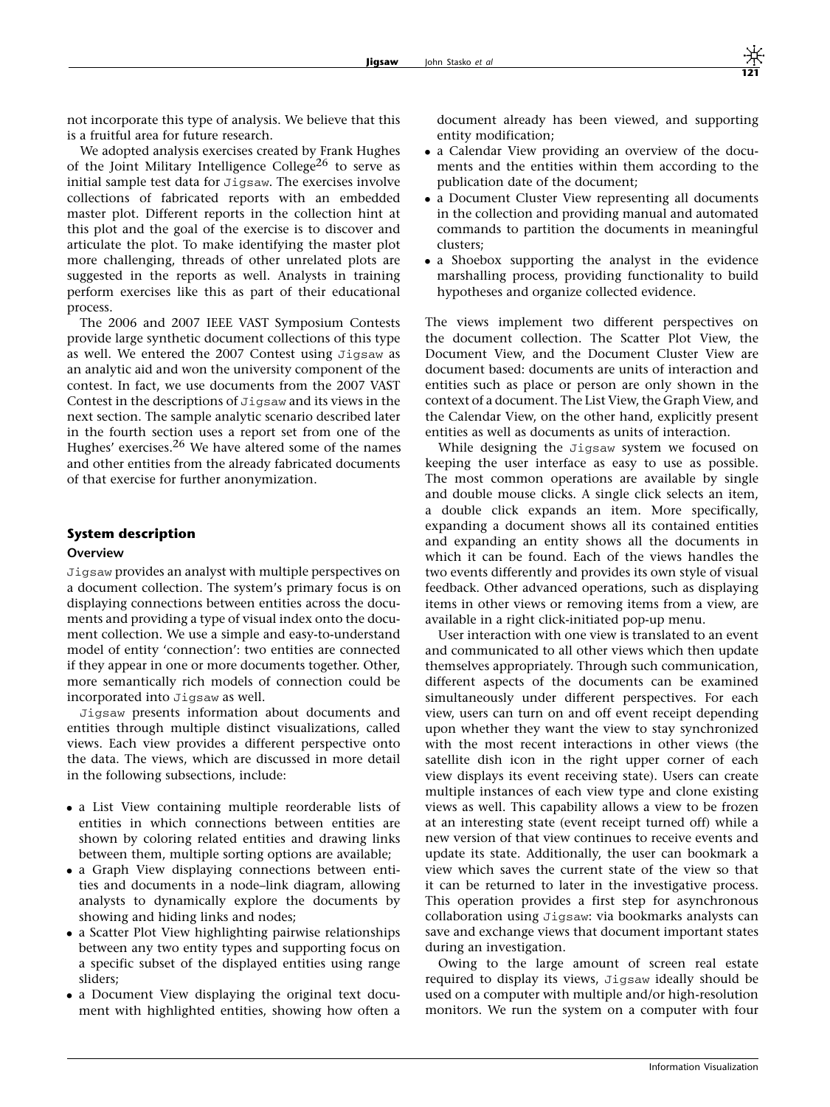not incorporate this type of analysis. We believe that this is a fruitful area for future research.

We adopted analysis exercises created by Frank Hughes of the Joint Military Intelligence College<sup>26</sup> to serve as initial sample test data for Jigsaw. The exercises involve collections of fabricated reports with an embedded master plot. Different reports in the collection hint at this plot and the goal of the exercise is to discover and articulate the plot. To make identifying the master plot more challenging, threads of other unrelated plots are suggested in the reports as well. Analysts in training perform exercises like this as part of their educational process.

The 2006 and 2007 IEEE VAST Symposium Contests provide large synthetic document collections of this type as well. We entered the 2007 Contest using Jigsaw as an analytic aid and won the university component of the contest. In fact, we use documents from the 2007 VAST Contest in the descriptions of Jigsaw and its views in the next section. The sample analytic scenario described later in the fourth section uses a report set from one of the Hughes' exercises.<sup>26</sup> We have altered some of the names and other entities from the already fabricated documents of that exercise for further anonymization.

## **System description**

### **Overview**

Jigsaw provides an analyst with multiple perspectives on a document collection. The system's primary focus is on displaying connections between entities across the documents and providing a type of visual index onto the document collection. We use a simple and easy-to-understand model of entity 'connection': two entities are connected if they appear in one or more documents together. Other, more semantically rich models of connection could be incorporated into Jigsaw as well.

Jigsaw presents information about documents and entities through multiple distinct visualizations, called views. Each view provides a different perspective onto the data. The views, which are discussed in more detail in the following subsections, include:

- a List View containing multiple reorderable lists of entities in which connections between entities are shown by coloring related entities and drawing links between them, multiple sorting options are available;
- a Graph View displaying connections between entities and documents in a node–link diagram, allowing analysts to dynamically explore the documents by showing and hiding links and nodes;
- a Scatter Plot View highlighting pairwise relationships between any two entity types and supporting focus on a specific subset of the displayed entities using range sliders;
- a Document View displaying the original text document with highlighted entities, showing how often a

document already has been viewed, and supporting entity modification;

- a Calendar View providing an overview of the documents and the entities within them according to the publication date of the document;
- a Document Cluster View representing all documents in the collection and providing manual and automated commands to partition the documents in meaningful clusters;
- a Shoebox supporting the analyst in the evidence marshalling process, providing functionality to build hypotheses and organize collected evidence.

The views implement two different perspectives on the document collection. The Scatter Plot View, the Document View, and the Document Cluster View are document based: documents are units of interaction and entities such as place or person are only shown in the context of a document. The List View, the Graph View, and the Calendar View, on the other hand, explicitly present entities as well as documents as units of interaction.

While designing the Jigsaw system we focused on keeping the user interface as easy to use as possible. The most common operations are available by single and double mouse clicks. A single click selects an item, a double click expands an item. More specifically, expanding a document shows all its contained entities and expanding an entity shows all the documents in which it can be found. Each of the views handles the two events differently and provides its own style of visual feedback. Other advanced operations, such as displaying items in other views or removing items from a view, are available in a right click-initiated pop-up menu.

User interaction with one view is translated to an event and communicated to all other views which then update themselves appropriately. Through such communication, different aspects of the documents can be examined simultaneously under different perspectives. For each view, users can turn on and off event receipt depending upon whether they want the view to stay synchronized with the most recent interactions in other views (the satellite dish icon in the right upper corner of each view displays its event receiving state). Users can create multiple instances of each view type and clone existing views as well. This capability allows a view to be frozen at an interesting state (event receipt turned off) while a new version of that view continues to receive events and update its state. Additionally, the user can bookmark a view which saves the current state of the view so that it can be returned to later in the investigative process. This operation provides a first step for asynchronous collaboration using Jigsaw: via bookmarks analysts can save and exchange views that document important states during an investigation.

Owing to the large amount of screen real estate required to display its views, Jigsaw ideally should be used on a computer with multiple and/or high-resolution monitors. We run the system on a computer with four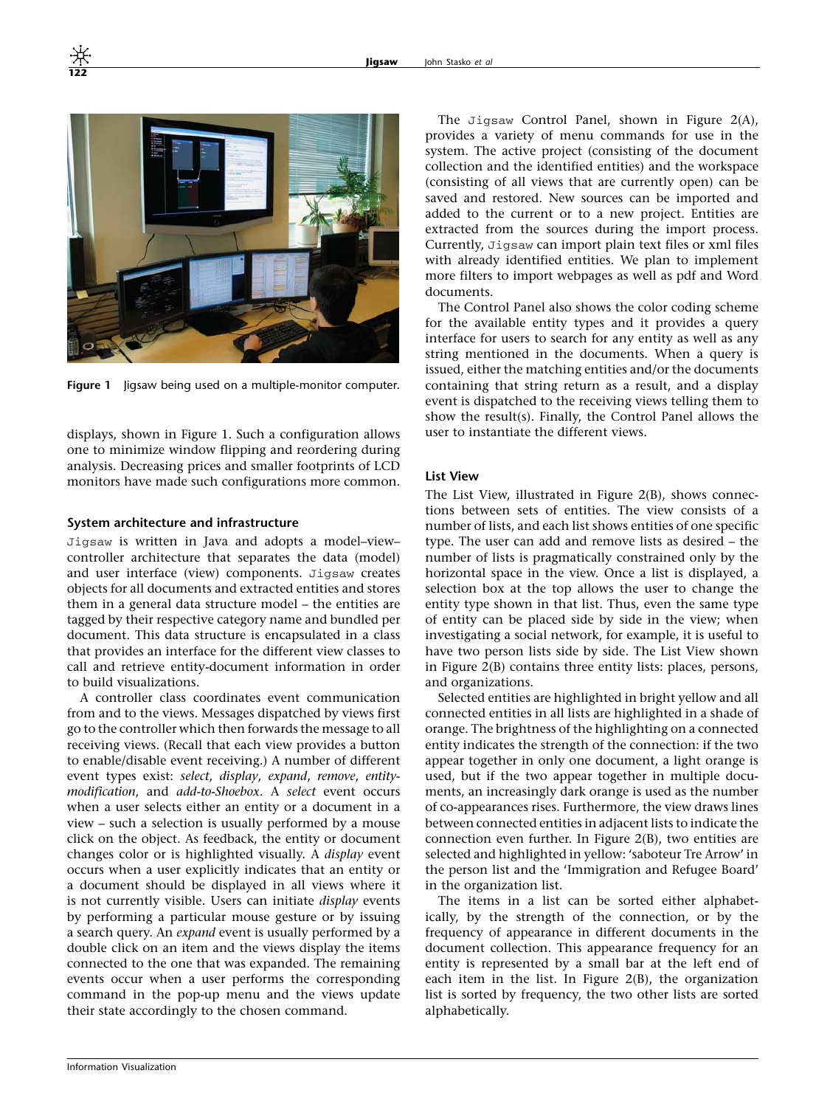

**Figure 1** Jigsaw being used on a multiple-monitor computer.

displays, shown in Figure 1. Such a configuration allows one to minimize window flipping and reordering during analysis. Decreasing prices and smaller footprints of LCD monitors have made such configurations more common.

## **System architecture and infrastructure**

Jigsaw is written in Java and adopts a model–view– controller architecture that separates the data (model) and user interface (view) components. Jigsaw creates objects for all documents and extracted entities and stores them in a general data structure model – the entities are tagged by their respective category name and bundled per document. This data structure is encapsulated in a class that provides an interface for the different view classes to call and retrieve entity-document information in order to build visualizations.

A controller class coordinates event communication from and to the views. Messages dispatched by views first go to the controller which then forwards the message to all receiving views. (Recall that each view provides a button to enable/disable event receiving.) A number of different event types exist: *select*, *display*, *expand*, *remove*, *entitymodification*, and *add-to-Shoebox*. A *select* event occurs when a user selects either an entity or a document in a view – such a selection is usually performed by a mouse click on the object. As feedback, the entity or document changes color or is highlighted visually. A *display* event occurs when a user explicitly indicates that an entity or a document should be displayed in all views where it is not currently visible. Users can initiate *display* events by performing a particular mouse gesture or by issuing a search query. An *expand* event is usually performed by a double click on an item and the views display the items connected to the one that was expanded. The remaining events occur when a user performs the corresponding command in the pop-up menu and the views update their state accordingly to the chosen command.

The Jigsaw Control Panel, shown in Figure 2(A), provides a variety of menu commands for use in the system. The active project (consisting of the document collection and the identified entities) and the workspace (consisting of all views that are currently open) can be saved and restored. New sources can be imported and added to the current or to a new project. Entities are extracted from the sources during the import process. Currently, Jigsaw can import plain text files or xml files with already identified entities. We plan to implement more filters to import webpages as well as pdf and Word documents.

The Control Panel also shows the color coding scheme for the available entity types and it provides a query interface for users to search for any entity as well as any string mentioned in the documents. When a query is issued, either the matching entities and/or the documents containing that string return as a result, and a display event is dispatched to the receiving views telling them to show the result(s). Finally, the Control Panel allows the user to instantiate the different views.

## **List View**

The List View, illustrated in Figure 2(B), shows connections between sets of entities. The view consists of a number of lists, and each list shows entities of one specific type. The user can add and remove lists as desired – the number of lists is pragmatically constrained only by the horizontal space in the view. Once a list is displayed, a selection box at the top allows the user to change the entity type shown in that list. Thus, even the same type of entity can be placed side by side in the view; when investigating a social network, for example, it is useful to have two person lists side by side. The List View shown in Figure 2(B) contains three entity lists: places, persons, and organizations.

Selected entities are highlighted in bright yellow and all connected entities in all lists are highlighted in a shade of orange. The brightness of the highlighting on a connected entity indicates the strength of the connection: if the two appear together in only one document, a light orange is used, but if the two appear together in multiple documents, an increasingly dark orange is used as the number of co-appearances rises. Furthermore, the view draws lines between connected entities in adjacent lists to indicate the connection even further. In Figure 2(B), two entities are selected and highlighted in yellow: 'saboteur Tre Arrow' in the person list and the 'Immigration and Refugee Board' in the organization list.

The items in a list can be sorted either alphabetically, by the strength of the connection, or by the frequency of appearance in different documents in the document collection. This appearance frequency for an entity is represented by a small bar at the left end of each item in the list. In Figure 2(B), the organization list is sorted by frequency, the two other lists are sorted alphabetically.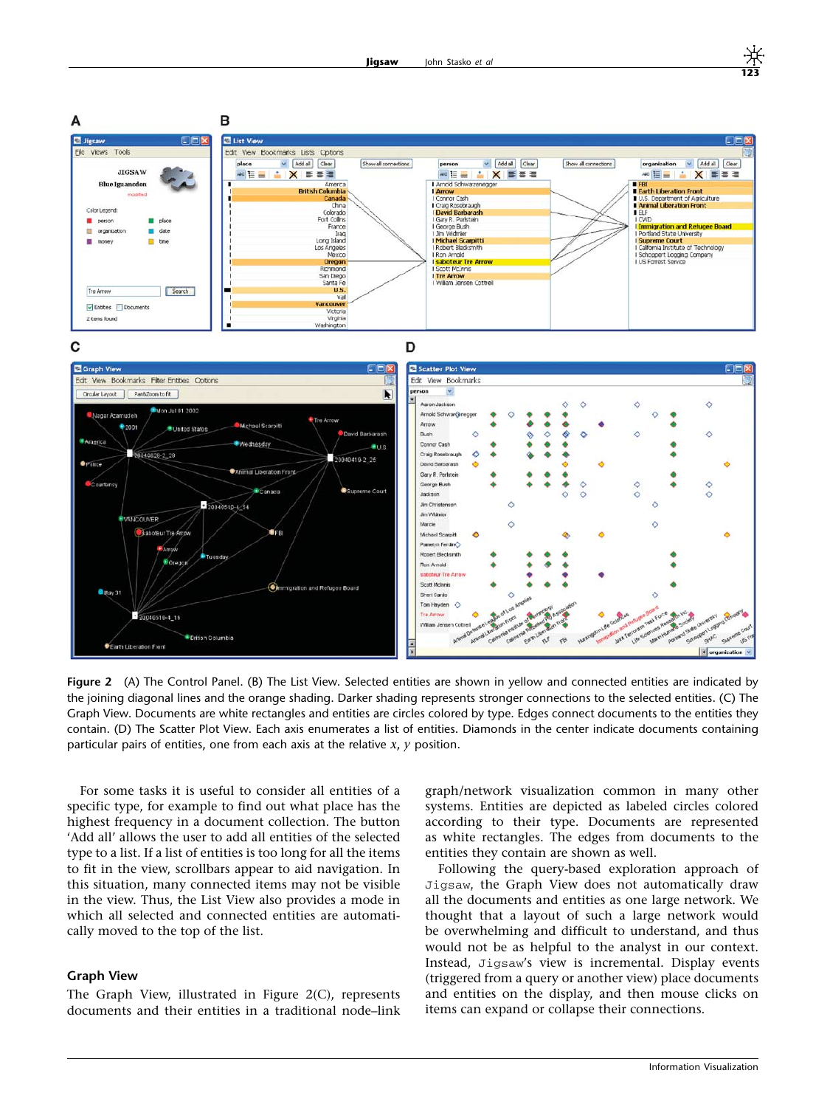

**Figure 2** (A) The Control Panel. (B) The List View. Selected entities are shown in yellow and connected entities are indicated by the joining diagonal lines and the orange shading. Darker shading represents stronger connections to the selected entities. (C) The Graph View. Documents are white rectangles and entities are circles colored by type. Edges connect documents to the entities they contain. (D) The Scatter Plot View. Each axis enumerates a list of entities. Diamonds in the center indicate documents containing particular pairs of entities, one from each axis at the relative x,  $\nu$  position.

For some tasks it is useful to consider all entities of a specific type, for example to find out what place has the highest frequency in a document collection. The button 'Add all' allows the user to add all entities of the selected type to a list. If a list of entities is too long for all the items to fit in the view, scrollbars appear to aid navigation. In this situation, many connected items may not be visible in the view. Thus, the List View also provides a mode in which all selected and connected entities are automatically moved to the top of the list.

## **Graph View**

The Graph View, illustrated in Figure 2(C), represents documents and their entities in a traditional node–link graph/network visualization common in many other systems. Entities are depicted as labeled circles colored according to their type. Documents are represented as white rectangles. The edges from documents to the entities they contain are shown as well.

Following the query-based exploration approach of Jigsaw, the Graph View does not automatically draw all the documents and entities as one large network. We thought that a layout of such a large network would be overwhelming and difficult to understand, and thus would not be as helpful to the analyst in our context. Instead, Jigsaw's view is incremental. Display events (triggered from a query or another view) place documents and entities on the display, and then mouse clicks on items can expand or collapse their connections.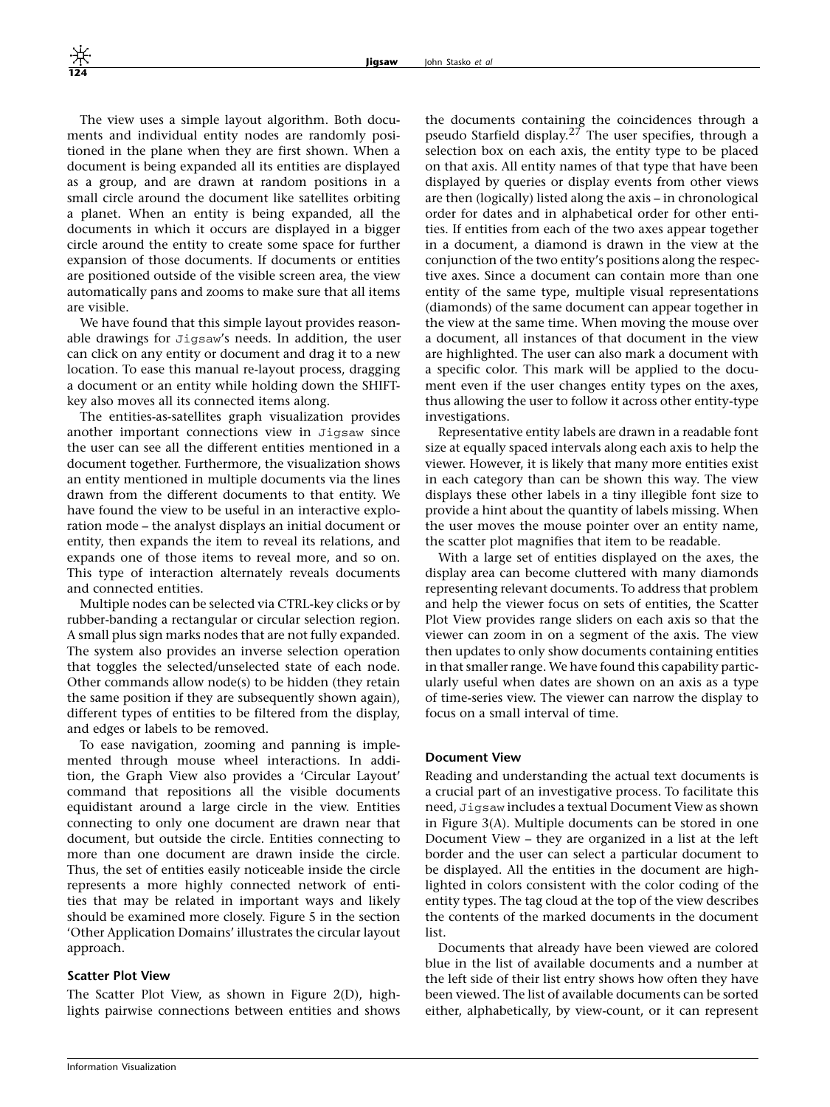The view uses a simple layout algorithm. Both documents and individual entity nodes are randomly positioned in the plane when they are first shown. When a document is being expanded all its entities are displayed as a group, and are drawn at random positions in a small circle around the document like satellites orbiting a planet. When an entity is being expanded, all the documents in which it occurs are displayed in a bigger circle around the entity to create some space for further expansion of those documents. If documents or entities are positioned outside of the visible screen area, the view automatically pans and zooms to make sure that all items are visible.

**124**

We have found that this simple layout provides reasonable drawings for Jigsaw's needs. In addition, the user can click on any entity or document and drag it to a new location. To ease this manual re-layout process, dragging a document or an entity while holding down the SHIFTkey also moves all its connected items along.

The entities-as-satellites graph visualization provides another important connections view in Jigsaw since the user can see all the different entities mentioned in a document together. Furthermore, the visualization shows an entity mentioned in multiple documents via the lines drawn from the different documents to that entity. We have found the view to be useful in an interactive exploration mode – the analyst displays an initial document or entity, then expands the item to reveal its relations, and expands one of those items to reveal more, and so on. This type of interaction alternately reveals documents and connected entities.

Multiple nodes can be selected via CTRL-key clicks or by rubber-banding a rectangular or circular selection region. A small plus sign marks nodes that are not fully expanded. The system also provides an inverse selection operation that toggles the selected/unselected state of each node. Other commands allow node(s) to be hidden (they retain the same position if they are subsequently shown again), different types of entities to be filtered from the display, and edges or labels to be removed.

To ease navigation, zooming and panning is implemented through mouse wheel interactions. In addition, the Graph View also provides a 'Circular Layout' command that repositions all the visible documents equidistant around a large circle in the view. Entities connecting to only one document are drawn near that document, but outside the circle. Entities connecting to more than one document are drawn inside the circle. Thus, the set of entities easily noticeable inside the circle represents a more highly connected network of entities that may be related in important ways and likely should be examined more closely. Figure 5 in the section 'Other Application Domains' illustrates the circular layout approach.

## **Scatter Plot View**

The Scatter Plot View, as shown in Figure 2(D), highlights pairwise connections between entities and shows the documents containing the coincidences through a pseudo Starfield display.<sup>27</sup> The user specifies, through a selection box on each axis, the entity type to be placed on that axis. All entity names of that type that have been displayed by queries or display events from other views are then (logically) listed along the axis – in chronological order for dates and in alphabetical order for other entities. If entities from each of the two axes appear together in a document, a diamond is drawn in the view at the conjunction of the two entity's positions along the respective axes. Since a document can contain more than one entity of the same type, multiple visual representations (diamonds) of the same document can appear together in the view at the same time. When moving the mouse over a document, all instances of that document in the view are highlighted. The user can also mark a document with a specific color. This mark will be applied to the document even if the user changes entity types on the axes, thus allowing the user to follow it across other entity-type investigations.

Representative entity labels are drawn in a readable font size at equally spaced intervals along each axis to help the viewer. However, it is likely that many more entities exist in each category than can be shown this way. The view displays these other labels in a tiny illegible font size to provide a hint about the quantity of labels missing. When the user moves the mouse pointer over an entity name, the scatter plot magnifies that item to be readable.

With a large set of entities displayed on the axes, the display area can become cluttered with many diamonds representing relevant documents. To address that problem and help the viewer focus on sets of entities, the Scatter Plot View provides range sliders on each axis so that the viewer can zoom in on a segment of the axis. The view then updates to only show documents containing entities in that smaller range. We have found this capability particularly useful when dates are shown on an axis as a type of time-series view. The viewer can narrow the display to focus on a small interval of time.

# **Document View**

Reading and understanding the actual text documents is a crucial part of an investigative process. To facilitate this need, Jigsaw includes a textual Document View as shown in Figure 3(A). Multiple documents can be stored in one Document View – they are organized in a list at the left border and the user can select a particular document to be displayed. All the entities in the document are highlighted in colors consistent with the color coding of the entity types. The tag cloud at the top of the view describes the contents of the marked documents in the document list.

Documents that already have been viewed are colored blue in the list of available documents and a number at the left side of their list entry shows how often they have been viewed. The list of available documents can be sorted either, alphabetically, by view-count, or it can represent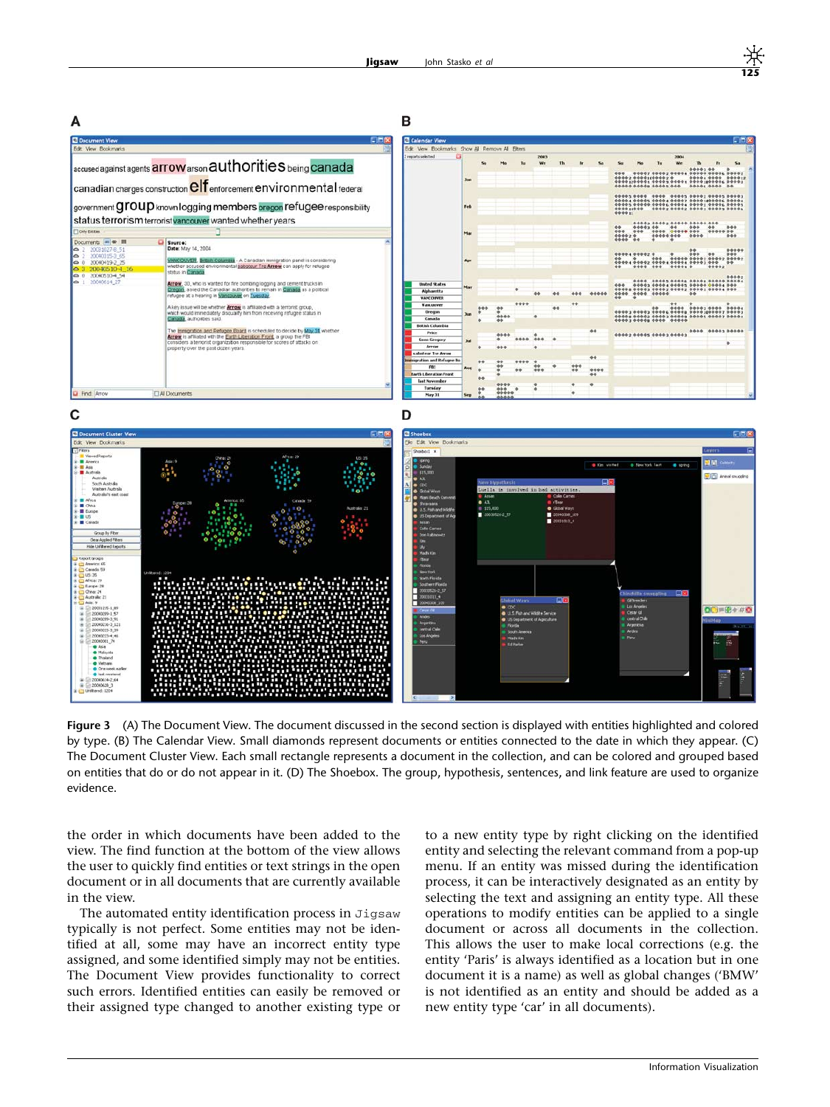

**Figure 3** (A) The Document View. The document discussed in the second section is displayed with entities highlighted and colored by type. (B) The Calendar View. Small diamonds represent documents or entities connected to the date in which they appear. (C) The Document Cluster View. Each small rectangle represents a document in the collection, and can be colored and grouped based on entities that do or do not appear in it. (D) The Shoebox. The group, hypothesis, sentences, and link feature are used to organize evidence.

the order in which documents have been added to the view. The find function at the bottom of the view allows the user to quickly find entities or text strings in the open document or in all documents that are currently available in the view.

The automated entity identification process in Jigsaw typically is not perfect. Some entities may not be identified at all, some may have an incorrect entity type assigned, and some identified simply may not be entities. The Document View provides functionality to correct such errors. Identified entities can easily be removed or their assigned type changed to another existing type or

to a new entity type by right clicking on the identified entity and selecting the relevant command from a pop-up menu. If an entity was missed during the identification process, it can be interactively designated as an entity by selecting the text and assigning an entity type. All these operations to modify entities can be applied to a single document or across all documents in the collection. This allows the user to make local corrections (e.g. the entity 'Paris' is always identified as a location but in one document it is a name) as well as global changes ('BMW' is not identified as an entity and should be added as a new entity type 'car' in all documents).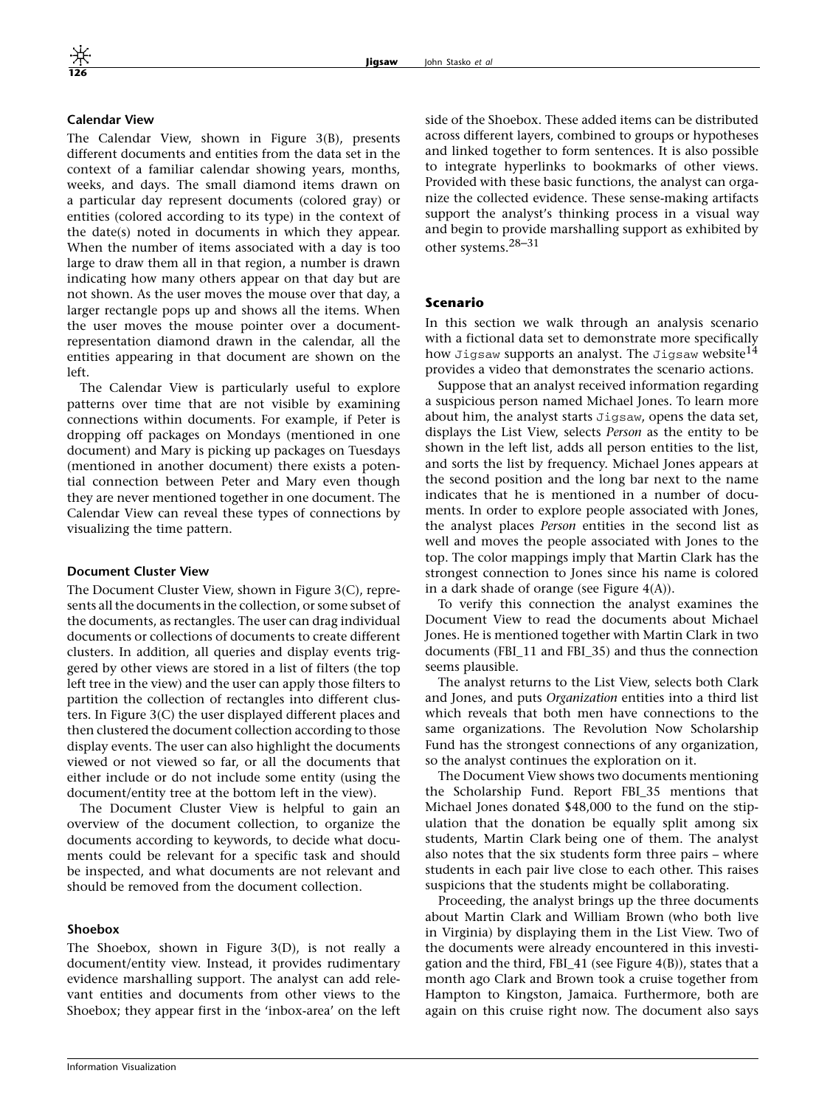# **Calendar View**

The Calendar View, shown in Figure 3(B), presents different documents and entities from the data set in the context of a familiar calendar showing years, months, weeks, and days. The small diamond items drawn on a particular day represent documents (colored gray) or entities (colored according to its type) in the context of the date(s) noted in documents in which they appear. When the number of items associated with a day is too large to draw them all in that region, a number is drawn indicating how many others appear on that day but are not shown. As the user moves the mouse over that day, a larger rectangle pops up and shows all the items. When the user moves the mouse pointer over a documentrepresentation diamond drawn in the calendar, all the entities appearing in that document are shown on the left.

The Calendar View is particularly useful to explore patterns over time that are not visible by examining connections within documents. For example, if Peter is dropping off packages on Mondays (mentioned in one document) and Mary is picking up packages on Tuesdays (mentioned in another document) there exists a potential connection between Peter and Mary even though they are never mentioned together in one document. The Calendar View can reveal these types of connections by visualizing the time pattern.

#### **Document Cluster View**

The Document Cluster View, shown in Figure 3(C), represents all the documents in the collection, or some subset of the documents, as rectangles. The user can drag individual documents or collections of documents to create different clusters. In addition, all queries and display events triggered by other views are stored in a list of filters (the top left tree in the view) and the user can apply those filters to partition the collection of rectangles into different clusters. In Figure 3(C) the user displayed different places and then clustered the document collection according to those display events. The user can also highlight the documents viewed or not viewed so far, or all the documents that either include or do not include some entity (using the document/entity tree at the bottom left in the view).

The Document Cluster View is helpful to gain an overview of the document collection, to organize the documents according to keywords, to decide what documents could be relevant for a specific task and should be inspected, and what documents are not relevant and should be removed from the document collection.

## **Shoebox**

The Shoebox, shown in Figure 3(D), is not really a document/entity view. Instead, it provides rudimentary evidence marshalling support. The analyst can add relevant entities and documents from other views to the Shoebox; they appear first in the 'inbox-area' on the left

side of the Shoebox. These added items can be distributed across different layers, combined to groups or hypotheses and linked together to form sentences. It is also possible to integrate hyperlinks to bookmarks of other views. Provided with these basic functions, the analyst can organize the collected evidence. These sense-making artifacts support the analyst's thinking process in a visual way and begin to provide marshalling support as exhibited by other systems.28–31

# **Scenario**

In this section we walk through an analysis scenario with a fictional data set to demonstrate more specifically how Jigsaw supports an analyst. The Jigsaw website<sup>14</sup> provides a video that demonstrates the scenario actions.

Suppose that an analyst received information regarding a suspicious person named Michael Jones. To learn more about him, the analyst starts Jigsaw, opens the data set, displays the List View, selects *Person* as the entity to be shown in the left list, adds all person entities to the list, and sorts the list by frequency. Michael Jones appears at the second position and the long bar next to the name indicates that he is mentioned in a number of documents. In order to explore people associated with Jones, the analyst places *Person* entities in the second list as well and moves the people associated with Jones to the top. The color mappings imply that Martin Clark has the strongest connection to Jones since his name is colored in a dark shade of orange (see Figure 4(A)).

To verify this connection the analyst examines the Document View to read the documents about Michael Jones. He is mentioned together with Martin Clark in two documents (FBI\_11 and FBI\_35) and thus the connection seems plausible.

The analyst returns to the List View, selects both Clark and Jones, and puts *Organization* entities into a third list which reveals that both men have connections to the same organizations. The Revolution Now Scholarship Fund has the strongest connections of any organization, so the analyst continues the exploration on it.

The Document View shows two documents mentioning the Scholarship Fund. Report FBI\_35 mentions that Michael Jones donated \$48,000 to the fund on the stipulation that the donation be equally split among six students, Martin Clark being one of them. The analyst also notes that the six students form three pairs – where students in each pair live close to each other. This raises suspicions that the students might be collaborating.

Proceeding, the analyst brings up the three documents about Martin Clark and William Brown (who both live in Virginia) by displaying them in the List View. Two of the documents were already encountered in this investigation and the third, FBI\_41 (see Figure 4(B)), states that a month ago Clark and Brown took a cruise together from Hampton to Kingston, Jamaica. Furthermore, both are again on this cruise right now. The document also says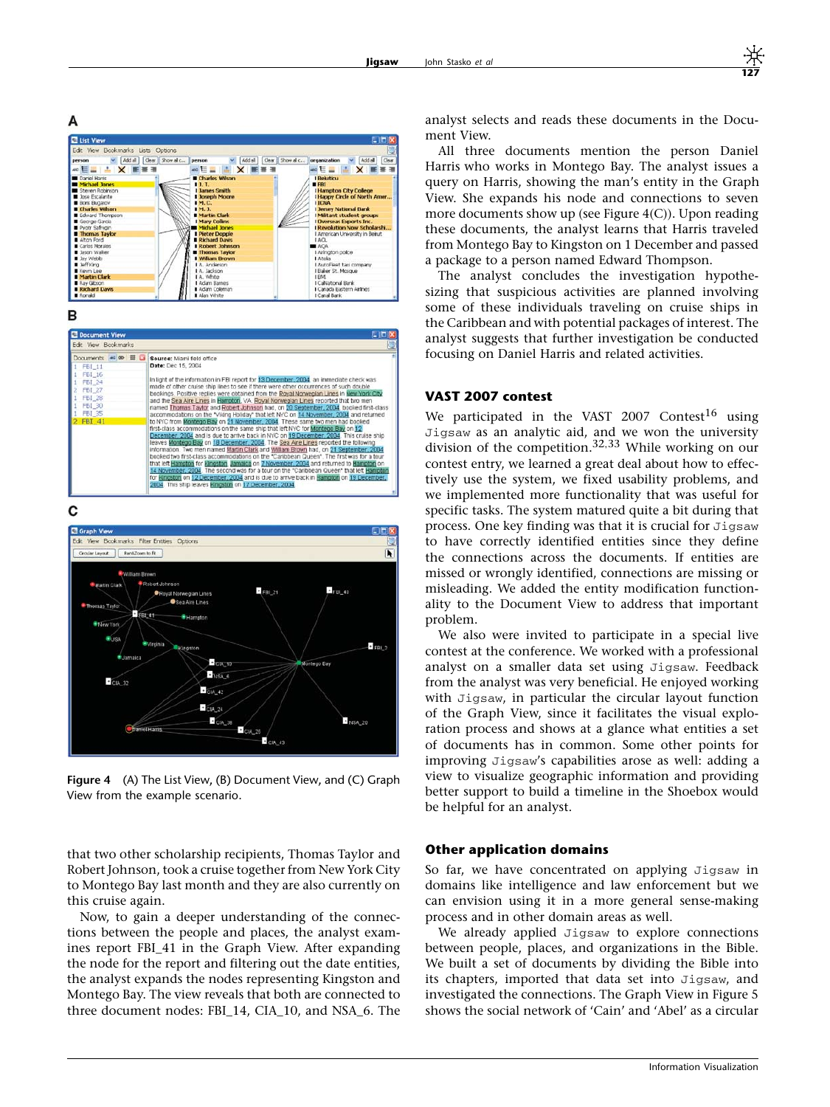A **City List Via** Bookmarks Option Edit View Liste  $[<sub>char</sub>]$  $X = 1$  $E_{\rm m}$  $X E$ .<br>CalNational Bank<br>Canada Eastern Airline<br>Canal Bank

B

| Document View                                                                                          |                                                                                                                                                                                                                                                                                                                                                                                                                                                                                                                                                                                                                                                                                                                                                                                                                                                                                                                                                                                                                                                                                                                                                                                                                                                                                                                                                                                                                                                                                        |
|--------------------------------------------------------------------------------------------------------|----------------------------------------------------------------------------------------------------------------------------------------------------------------------------------------------------------------------------------------------------------------------------------------------------------------------------------------------------------------------------------------------------------------------------------------------------------------------------------------------------------------------------------------------------------------------------------------------------------------------------------------------------------------------------------------------------------------------------------------------------------------------------------------------------------------------------------------------------------------------------------------------------------------------------------------------------------------------------------------------------------------------------------------------------------------------------------------------------------------------------------------------------------------------------------------------------------------------------------------------------------------------------------------------------------------------------------------------------------------------------------------------------------------------------------------------------------------------------------------|
| Edit View Bookmarks                                                                                    |                                                                                                                                                                                                                                                                                                                                                                                                                                                                                                                                                                                                                                                                                                                                                                                                                                                                                                                                                                                                                                                                                                                                                                                                                                                                                                                                                                                                                                                                                        |
| Documents # 8 图<br>FBI 11<br>FBI 16<br>FBI 24<br>FBI 27<br>FBI 28<br>FBI 30<br>FBI 35<br><b>FBI 41</b> | Source: Miami field office<br>Date: Dec 15, 2004<br>In light of the information in FBI report for 13 December, 2004, an immediate check was<br>made of other cruise ship lines to see if there were other occurrences of such double.<br>bookings. Positive reglies were obtained from the Royal Norwegian Lines in New York City<br>and the Sea Aire Lines in Hampton. VA. Royal Norwegian Lines reported that two men<br>named Thomas Taylor and Robert Johnson had, on 20 September, 2004, booked first-class<br>accommodations on the "Viking Holiday" that left NYC on 14 November, 2004 and returned<br>to NYC from Montego Bay on 21 November, 2004 These same two men had booked<br>first-class accommodations on the same ship that left NYC for Montego Bay on 12<br>December, 2004 and is due to arrive back in NYC on 19 December, 2004. This cruise ship<br>leaves Montego Bay on 18 December, 2004. The Sea Aire Lines reported the following<br>information. Two men named Martin Clark and William Brown had, on 21 September, 2004<br>booked two first-class accommodations on the "Caribbean Queen". The first was for a tour<br>that left Hampton for Kingston, Jamaica on 7 November, 2004 and returned to Hampton on<br>14 November, 2004. The second was for a tour on the "Caribbean Queen" that left Hampton<br>for Kingston on 12 December, 2004 and is due to arrive back in Hampton on 19 December.<br>2004. This ship leaves Kingston on 17 December, 2004 |

 $\mathbf c$ 



**Figure 4** (A) The List View, (B) Document View, and (C) Graph View from the example scenario.

that two other scholarship recipients, Thomas Taylor and Robert Johnson, took a cruise together from New York City to Montego Bay last month and they are also currently on this cruise again.

Now, to gain a deeper understanding of the connections between the people and places, the analyst examines report FBI\_41 in the Graph View. After expanding the node for the report and filtering out the date entities, the analyst expands the nodes representing Kingston and Montego Bay. The view reveals that both are connected to three document nodes: FBI\_14, CIA\_10, and NSA\_6. The

analyst selects and reads these documents in the Document View.

All three documents mention the person Daniel Harris who works in Montego Bay. The analyst issues a query on Harris, showing the man's entity in the Graph View. She expands his node and connections to seven more documents show up (see Figure 4(C)). Upon reading these documents, the analyst learns that Harris traveled from Montego Bay to Kingston on 1 December and passed a package to a person named Edward Thompson.

The analyst concludes the investigation hypothesizing that suspicious activities are planned involving some of these individuals traveling on cruise ships in the Caribbean and with potential packages of interest. The analyst suggests that further investigation be conducted focusing on Daniel Harris and related activities.

# **VAST 2007 contest**

We participated in the VAST 2007 Contest<sup>16</sup> using Jigsaw as an analytic aid, and we won the university division of the competition.32,<sup>33</sup> While working on our contest entry, we learned a great deal about how to effectively use the system, we fixed usability problems, and we implemented more functionality that was useful for specific tasks. The system matured quite a bit during that process. One key finding was that it is crucial for Jigsaw to have correctly identified entities since they define the connections across the documents. If entities are missed or wrongly identified, connections are missing or misleading. We added the entity modification functionality to the Document View to address that important problem.

We also were invited to participate in a special live contest at the conference. We worked with a professional analyst on a smaller data set using Jigsaw. Feedback from the analyst was very beneficial. He enjoyed working with Jigsaw, in particular the circular layout function of the Graph View, since it facilitates the visual exploration process and shows at a glance what entities a set of documents has in common. Some other points for improving Jigsaw's capabilities arose as well: adding a view to visualize geographic information and providing better support to build a timeline in the Shoebox would be helpful for an analyst.

# **Other application domains**

So far, we have concentrated on applying Jigsaw in domains like intelligence and law enforcement but we can envision using it in a more general sense-making process and in other domain areas as well.

We already applied Jigsaw to explore connections between people, places, and organizations in the Bible. We built a set of documents by dividing the Bible into its chapters, imported that data set into Jigsaw, and investigated the connections. The Graph View in Figure 5 shows the social network of 'Cain' and 'Abel' as a circular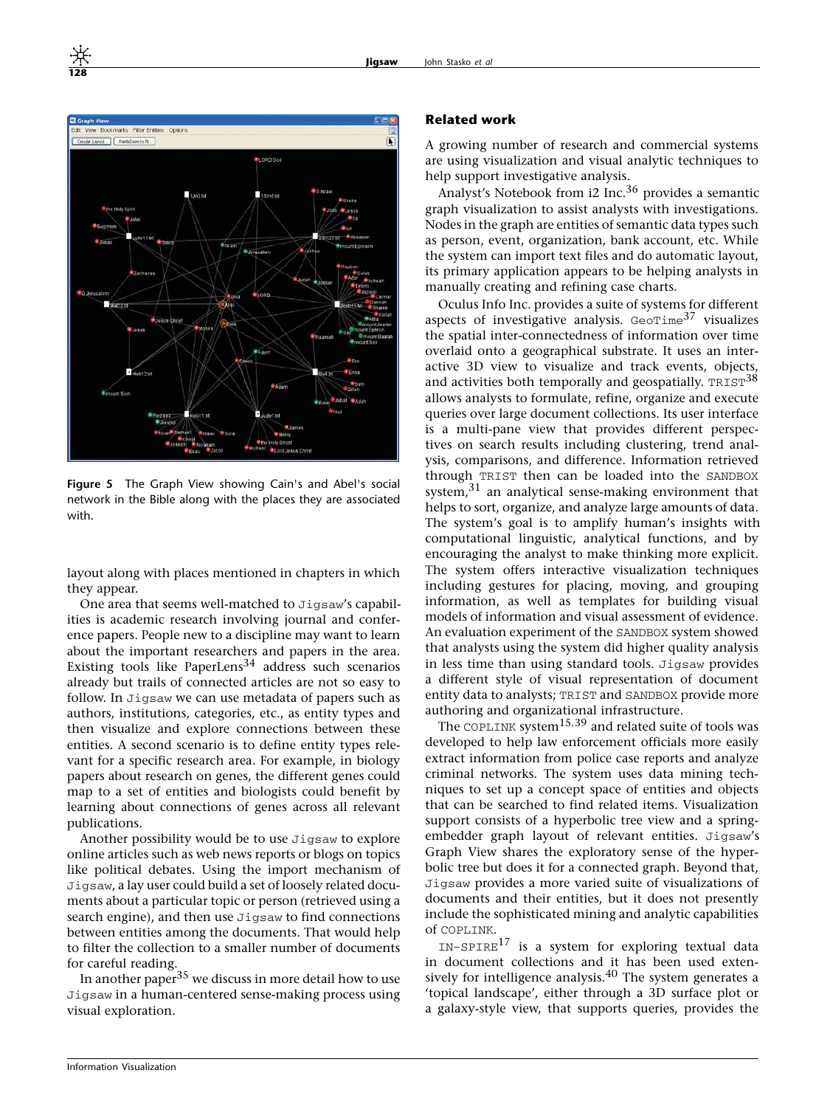

**Figure 5** The Graph View showing Cain's and Abel's social network in the Bible along with the places they are associated with.

layout along with places mentioned in chapters in which they appear.

One area that seems well-matched to Jigsaw's capabilities is academic research involving journal and conference papers. People new to a discipline may want to learn about the important researchers and papers in the area. Existing tools like PaperLens<sup>34</sup> address such scenarios already but trails of connected articles are not so easy to follow. In Jigsaw we can use metadata of papers such as authors, institutions, categories, etc., as entity types and then visualize and explore connections between these entities. A second scenario is to define entity types relevant for a specific research area. For example, in biology papers about research on genes, the different genes could map to a set of entities and biologists could benefit by learning about connections of genes across all relevant publications.

Another possibility would be to use Jigsaw to explore online articles such as web news reports or blogs on topics like political debates. Using the import mechanism of Jigsaw, a lay user could build a set of loosely related documents about a particular topic or person (retrieved using a search engine), and then use Jigsaw to find connections between entities among the documents. That would help to filter the collection to a smaller number of documents for careful reading.

In another paper<sup>35</sup> we discuss in more detail how to use Jigsaw in a human-centered sense-making process using visual exploration.

## **Related work**

A growing number of research and commercial systems are using visualization and visual analytic techniques to help support investigative analysis.

Analyst's Notebook from i2 Inc.<sup>36</sup> provides a semantic graph visualization to assist analysts with investigations. Nodes in the graph are entities of semantic data types such as person, event, organization, bank account, etc. While the system can import text files and do automatic layout, its primary application appears to be helping analysts in manually creating and refining case charts.

Oculus Info Inc. provides a suite of systems for different aspects of investigative analysis.  $GeoTime<sup>37</sup>$  visualizes the spatial inter-connectedness of information over time overlaid onto a geographical substrate. It uses an interactive 3D view to visualize and track events, objects, and activities both temporally and geospatially.  $TRIST^{38}$ allows analysts to formulate, refine, organize and execute queries over large document collections. Its user interface is a multi-pane view that provides different perspectives on search results including clustering, trend analysis, comparisons, and difference. Information retrieved through TRIST then can be loaded into the SANDBOX system, $31$  an analytical sense-making environment that helps to sort, organize, and analyze large amounts of data. The system's goal is to amplify human's insights with computational linguistic, analytical functions, and by encouraging the analyst to make thinking more explicit. The system offers interactive visualization techniques including gestures for placing, moving, and grouping information, as well as templates for building visual models of information and visual assessment of evidence. An evaluation experiment of the SANDBOX system showed that analysts using the system did higher quality analysis in less time than using standard tools. Jigsaw provides a different style of visual representation of document entity data to analysts; TRIST and SANDBOX provide more authoring and organizational infrastructure.

The COPLINK system<sup>15,39</sup> and related suite of tools was developed to help law enforcement officials more easily extract information from police case reports and analyze criminal networks. The system uses data mining techniques to set up a concept space of entities and objects that can be searched to find related items. Visualization support consists of a hyperbolic tree view and a springembedder graph layout of relevant entities. Jigsaw's Graph View shares the exploratory sense of the hyperbolic tree but does it for a connected graph. Beyond that, Jigsaw provides a more varied suite of visualizations of documents and their entities, but it does not presently include the sophisticated mining and analytic capabilities of COPLINK.

 $IN-SPIRE<sup>17</sup>$  is a system for exploring textual data in document collections and it has been used extensively for intelligence analysis. $40$  The system generates a 'topical landscape', either through a 3D surface plot or a galaxy-style view, that supports queries, provides the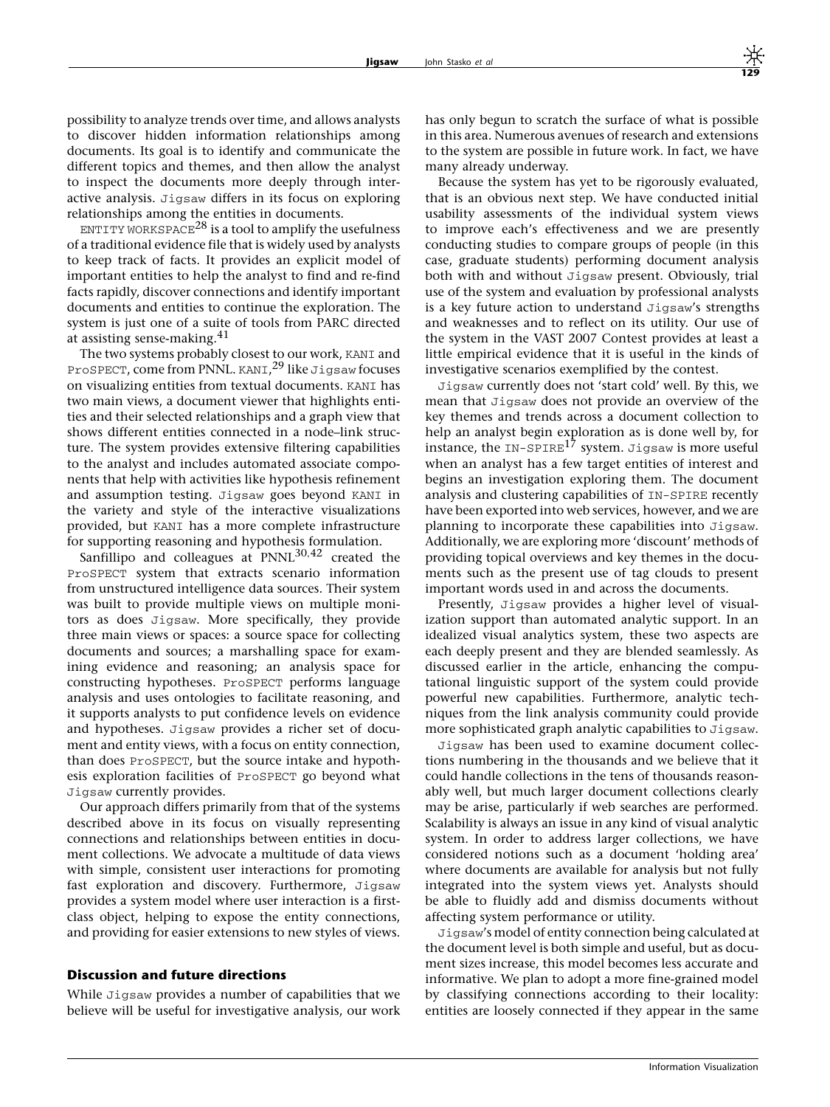possibility to analyze trends over time, and allows analysts to discover hidden information relationships among documents. Its goal is to identify and communicate the different topics and themes, and then allow the analyst to inspect the documents more deeply through interactive analysis. Jigsaw differs in its focus on exploring relationships among the entities in documents.

ENTITY WORKSPACE<sup>28</sup> is a tool to amplify the usefulness of a traditional evidence file that is widely used by analysts to keep track of facts. It provides an explicit model of important entities to help the analyst to find and re-find facts rapidly, discover connections and identify important documents and entities to continue the exploration. The system is just one of a suite of tools from PARC directed at assisting sense-making.<sup>41</sup>

The two systems probably closest to our work, KANI and ProSPECT, come from PNNL. KANI,<sup>29</sup> like Jigsaw focuses on visualizing entities from textual documents. KANI has two main views, a document viewer that highlights entities and their selected relationships and a graph view that shows different entities connected in a node–link structure. The system provides extensive filtering capabilities to the analyst and includes automated associate components that help with activities like hypothesis refinement and assumption testing. Jigsaw goes beyond KANI in the variety and style of the interactive visualizations provided, but KANI has a more complete infrastructure for supporting reasoning and hypothesis formulation.

Sanfillipo and colleagues at  $PNNL<sup>30,42</sup>$  created the ProSPECT system that extracts scenario information from unstructured intelligence data sources. Their system was built to provide multiple views on multiple monitors as does Jigsaw. More specifically, they provide three main views or spaces: a source space for collecting documents and sources; a marshalling space for examining evidence and reasoning; an analysis space for constructing hypotheses. ProSPECT performs language analysis and uses ontologies to facilitate reasoning, and it supports analysts to put confidence levels on evidence and hypotheses. Jigsaw provides a richer set of document and entity views, with a focus on entity connection, than does ProSPECT, but the source intake and hypothesis exploration facilities of ProSPECT go beyond what Jigsaw currently provides.

Our approach differs primarily from that of the systems described above in its focus on visually representing connections and relationships between entities in document collections. We advocate a multitude of data views with simple, consistent user interactions for promoting fast exploration and discovery. Furthermore, Jigsaw provides a system model where user interaction is a firstclass object, helping to expose the entity connections, and providing for easier extensions to new styles of views.

# **Discussion and future directions**

While Jigsaw provides a number of capabilities that we believe will be useful for investigative analysis, our work has only begun to scratch the surface of what is possible in this area. Numerous avenues of research and extensions to the system are possible in future work. In fact, we have many already underway.

Because the system has yet to be rigorously evaluated, that is an obvious next step. We have conducted initial usability assessments of the individual system views to improve each's effectiveness and we are presently conducting studies to compare groups of people (in this case, graduate students) performing document analysis both with and without Jigsaw present. Obviously, trial use of the system and evaluation by professional analysts is a key future action to understand Jigsaw's strengths and weaknesses and to reflect on its utility. Our use of the system in the VAST 2007 Contest provides at least a little empirical evidence that it is useful in the kinds of investigative scenarios exemplified by the contest.

Jigsaw currently does not 'start cold' well. By this, we mean that Jigsaw does not provide an overview of the key themes and trends across a document collection to help an analyst begin exploration as is done well by, for instance, the IN-SPIRE<sup>17</sup> system. Jigsaw is more useful when an analyst has a few target entities of interest and begins an investigation exploring them. The document analysis and clustering capabilities of IN-SPIRE recently have been exported into web services, however, and we are planning to incorporate these capabilities into Jigsaw. Additionally, we are exploring more 'discount' methods of providing topical overviews and key themes in the documents such as the present use of tag clouds to present important words used in and across the documents.

Presently, Jigsaw provides a higher level of visualization support than automated analytic support. In an idealized visual analytics system, these two aspects are each deeply present and they are blended seamlessly. As discussed earlier in the article, enhancing the computational linguistic support of the system could provide powerful new capabilities. Furthermore, analytic techniques from the link analysis community could provide more sophisticated graph analytic capabilities to Jigsaw.

Jigsaw has been used to examine document collections numbering in the thousands and we believe that it could handle collections in the tens of thousands reasonably well, but much larger document collections clearly may be arise, particularly if web searches are performed. Scalability is always an issue in any kind of visual analytic system. In order to address larger collections, we have considered notions such as a document 'holding area' where documents are available for analysis but not fully integrated into the system views yet. Analysts should be able to fluidly add and dismiss documents without affecting system performance or utility.

Jigsaw's model of entity connection being calculated at the document level is both simple and useful, but as document sizes increase, this model becomes less accurate and informative. We plan to adopt a more fine-grained model by classifying connections according to their locality: entities are loosely connected if they appear in the same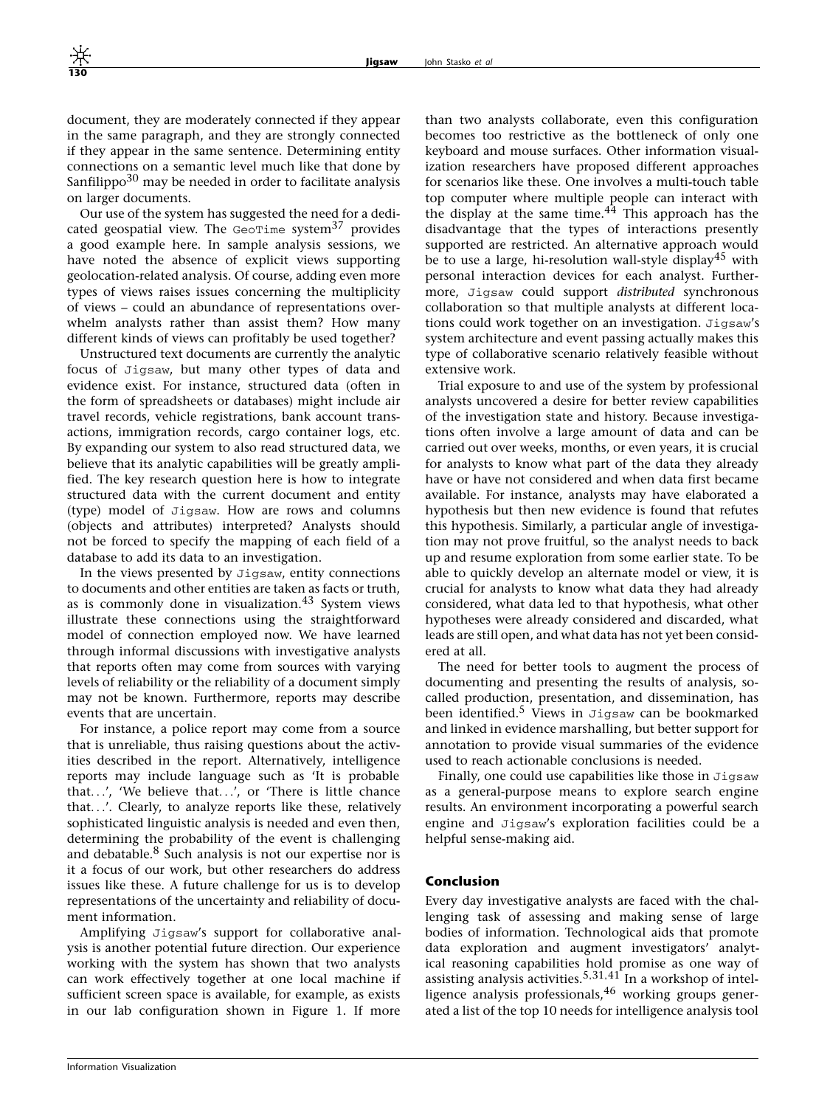document, they are moderately connected if they appear in the same paragraph, and they are strongly connected if they appear in the same sentence. Determining entity connections on a semantic level much like that done by Sanfilippo $30$  may be needed in order to facilitate analysis on larger documents.

Our use of the system has suggested the need for a dedicated geospatial view. The GeoTime system $37$  provides a good example here. In sample analysis sessions, we have noted the absence of explicit views supporting geolocation-related analysis. Of course, adding even more types of views raises issues concerning the multiplicity of views – could an abundance of representations overwhelm analysts rather than assist them? How many different kinds of views can profitably be used together?

Unstructured text documents are currently the analytic focus of Jigsaw, but many other types of data and evidence exist. For instance, structured data (often in the form of spreadsheets or databases) might include air travel records, vehicle registrations, bank account transactions, immigration records, cargo container logs, etc. By expanding our system to also read structured data, we believe that its analytic capabilities will be greatly amplified. The key research question here is how to integrate structured data with the current document and entity (type) model of Jigsaw. How are rows and columns (objects and attributes) interpreted? Analysts should not be forced to specify the mapping of each field of a database to add its data to an investigation.

In the views presented by Jigsaw, entity connections to documents and other entities are taken as facts or truth, as is commonly done in visualization.<sup>43</sup> System views illustrate these connections using the straightforward model of connection employed now. We have learned through informal discussions with investigative analysts that reports often may come from sources with varying levels of reliability or the reliability of a document simply may not be known. Furthermore, reports may describe events that are uncertain.

For instance, a police report may come from a source that is unreliable, thus raising questions about the activities described in the report. Alternatively, intelligence reports may include language such as 'It is probable that...', 'We believe that...', or 'There is little chance that...'. Clearly, to analyze reports like these, relatively sophisticated linguistic analysis is needed and even then, determining the probability of the event is challenging and debatable. $8$  Such analysis is not our expertise nor is it a focus of our work, but other researchers do address issues like these. A future challenge for us is to develop representations of the uncertainty and reliability of document information.

Amplifying Jigsaw's support for collaborative analysis is another potential future direction. Our experience working with the system has shown that two analysts can work effectively together at one local machine if sufficient screen space is available, for example, as exists in our lab configuration shown in Figure 1. If more

than two analysts collaborate, even this configuration becomes too restrictive as the bottleneck of only one keyboard and mouse surfaces. Other information visualization researchers have proposed different approaches for scenarios like these. One involves a multi-touch table top computer where multiple people can interact with the display at the same time. $44$  This approach has the disadvantage that the types of interactions presently supported are restricted. An alternative approach would be to use a large, hi-resolution wall-style display<sup>45</sup> with personal interaction devices for each analyst. Furthermore, Jigsaw could support *distributed* synchronous collaboration so that multiple analysts at different locations could work together on an investigation. Jigsaw's system architecture and event passing actually makes this type of collaborative scenario relatively feasible without extensive work.

Trial exposure to and use of the system by professional analysts uncovered a desire for better review capabilities of the investigation state and history. Because investigations often involve a large amount of data and can be carried out over weeks, months, or even years, it is crucial for analysts to know what part of the data they already have or have not considered and when data first became available. For instance, analysts may have elaborated a hypothesis but then new evidence is found that refutes this hypothesis. Similarly, a particular angle of investigation may not prove fruitful, so the analyst needs to back up and resume exploration from some earlier state. To be able to quickly develop an alternate model or view, it is crucial for analysts to know what data they had already considered, what data led to that hypothesis, what other hypotheses were already considered and discarded, what leads are still open, and what data has not yet been considered at all.

The need for better tools to augment the process of documenting and presenting the results of analysis, socalled production, presentation, and dissemination, has been identified.<sup>5</sup> Views in Jigsaw can be bookmarked and linked in evidence marshalling, but better support for annotation to provide visual summaries of the evidence used to reach actionable conclusions is needed.

Finally, one could use capabilities like those in Jigsaw as a general-purpose means to explore search engine results. An environment incorporating a powerful search engine and Jigsaw's exploration facilities could be a helpful sense-making aid.

## **Conclusion**

Every day investigative analysts are faced with the challenging task of assessing and making sense of large bodies of information. Technological aids that promote data exploration and augment investigators' analytical reasoning capabilities hold promise as one way of assisting analysis activities.<sup>5,31,41</sup> In a workshop of intelligence analysis professionals,<sup>46</sup> working groups generated a list of the top 10 needs for intelligence analysis tool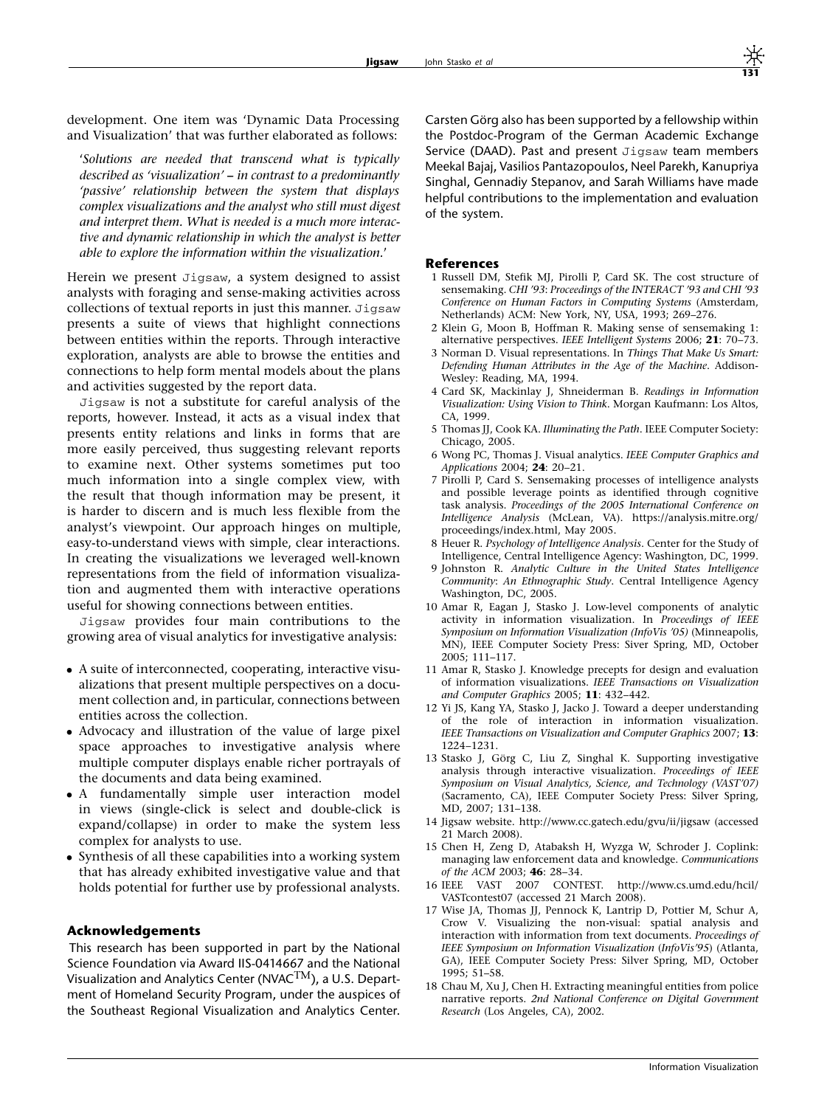development. One item was 'Dynamic Data Processing and Visualization' that was further elaborated as follows:

'*Solutions are needed that transcend what is typically described as 'visualization' -- in contrast to a predominantly 'passive' relationship between the system that displays complex visualizations and the analyst who still must digest and interpret them. What is needed is a much more interactive and dynamic relationship in which the analyst is better able to explore the information within the visualization.*'

Herein we present Jigsaw, a system designed to assist analysts with foraging and sense-making activities across collections of textual reports in just this manner. Jigsaw presents a suite of views that highlight connections between entities within the reports. Through interactive exploration, analysts are able to browse the entities and connections to help form mental models about the plans and activities suggested by the report data.

Jigsaw is not a substitute for careful analysis of the reports, however. Instead, it acts as a visual index that presents entity relations and links in forms that are more easily perceived, thus suggesting relevant reports to examine next. Other systems sometimes put too much information into a single complex view, with the result that though information may be present, it is harder to discern and is much less flexible from the analyst's viewpoint. Our approach hinges on multiple, easy-to-understand views with simple, clear interactions. In creating the visualizations we leveraged well-known representations from the field of information visualization and augmented them with interactive operations useful for showing connections between entities.

Jigsaw provides four main contributions to the growing area of visual analytics for investigative analysis:

- A suite of interconnected, cooperating, interactive visualizations that present multiple perspectives on a document collection and, in particular, connections between entities across the collection.
- Advocacy and illustration of the value of large pixel space approaches to investigative analysis where multiple computer displays enable richer portrayals of the documents and data being examined.
- A fundamentally simple user interaction model in views (single-click is select and double-click is expand/collapse) in order to make the system less complex for analysts to use.
- Synthesis of all these capabilities into a working system that has already exhibited investigative value and that holds potential for further use by professional analysts.

## **Acknowledgements**

This research has been supported in part by the National Science Foundation via Award IIS-0414667 and the National Visualization and Analytics Center (NVAC $\text{TM}$ ), a U.S. Department of Homeland Security Program, under the auspices of the Southeast Regional Visualization and Analytics Center.

Carsten Görg also has been supported by a fellowship within the Postdoc-Program of the German Academic Exchange Service (DAAD). Past and present Jigsaw team members Meekal Bajaj, Vasilios Pantazopoulos, Neel Parekh, Kanupriya Singhal, Gennadiy Stepanov, and Sarah Williams have made helpful contributions to the implementation and evaluation of the system.

#### **References**

- 1 Russell DM, Stefik MJ, Pirolli P, Card SK. The cost structure of sensemaking. *CHI '93*: *Proceedings of the INTERACT '93 and CHI '93 Conference on Human Factors in Computing Systems* (Amsterdam, Netherlands) ACM: New York, NY, USA, 1993; 269–276.
- 2 Klein G, Moon B, Hoffman R. Making sense of sensemaking 1: alternative perspectives. *IEEE Intelligent Systems* 2006; **21**: 70–73.
- 3 Norman D. Visual representations. In *Things That Make Us Smart: Defending Human Attributes in the Age of the Machine*. Addison-Wesley: Reading, MA, 1994.
- 4 Card SK, Mackinlay J, Shneiderman B. *Readings in Information Visualization: Using Vision to Think*. Morgan Kaufmann: Los Altos, CA, 1999.
- 5 Thomas JJ, Cook KA. *Illuminating the Path*. IEEE Computer Society: Chicago, 2005.
- 6 Wong PC, Thomas J. Visual analytics. *IEEE Computer Graphics and Applications* 2004; **24**: 20–21.
- 7 Pirolli P, Card S. Sensemaking processes of intelligence analysts and possible leverage points as identified through cognitive task analysis. *Proceedings of the 2005 International Conference on Intelligence Analysis* (McLean, VA). https://analysis.mitre.org/ proceedings/index.html, May 2005.
- 8 Heuer R. *Psychology of Intelligence Analysis*. Center for the Study of Intelligence, Central Intelligence Agency: Washington, DC, 1999.
- 9 Johnston R. *Analytic Culture in the United States Intelligence Community*: *An Ethnographic Study*. Central Intelligence Agency Washington, DC, 2005.
- 10 Amar R, Eagan J, Stasko J. Low-level components of analytic activity in information visualization. In *Proceedings of IEEE Symposium on Information Visualization (InfoVis '05)* (Minneapolis, MN), IEEE Computer Society Press: Siver Spring, MD, October 2005; 111–117.
- 11 Amar R, Stasko J. Knowledge precepts for design and evaluation of information visualizations. *IEEE Transactions on Visualization and Computer Graphics* 2005; **11**: 432–442.
- 12 Yi JS, Kang YA, Stasko J, Jacko J. Toward a deeper understanding of the role of interaction in information visualization. *IEEE Transactions on Visualization and Computer Graphics* 2007; **13**: 1224–1231.
- 13 Stasko J, Görg C, Liu Z, Singhal K. Supporting investigative analysis through interactive visualization. *Proceedings of IEEE Symposium on Visual Analytics, Science, and Technology (VAST'07)* (Sacramento, CA), IEEE Computer Society Press: Silver Spring, MD, 2007; 131–138.
- 14 Jigsaw website. http://www.cc.gatech.edu/gvu/ii/jigsaw (accessed 21 March 2008).
- 15 Chen H, Zeng D, Atabaksh H, Wyzga W, Schroder J. Coplink: managing law enforcement data and knowledge. *Communications of the ACM* 2003; **46**: 28–34.
- 16 IEEE VAST 2007 CONTEST. http://www.cs.umd.edu/hcil/ VASTcontest07 (accessed 21 March 2008).
- 17 Wise JA, Thomas JJ, Pennock K, Lantrip D, Pottier M, Schur A, Crow V. Visualizing the non-visual: spatial analysis and interaction with information from text documents. *Proceedings of IEEE Symposium on Information Visualization* (*InfoVis'95*) (Atlanta, GA), IEEE Computer Society Press: Silver Spring, MD, October 1995; 51–58.
- 18 Chau M, Xu J, Chen H. Extracting meaningful entities from police narrative reports. *2nd National Conference on Digital Government Research* (Los Angeles, CA), 2002.